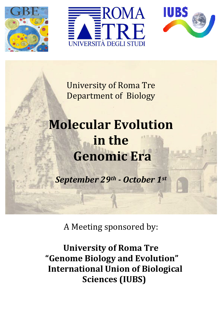





University of Roma Tre Department of Biology

# Molecular Evolution in the Genomic Era

September 29th - October 1st

A Meeting sponsored by:

University of Roma Tre "Genome Biology and Evolution" International Union of Biological Sciences (IUBS)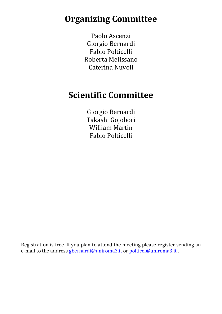## Organizing Committee

Paolo Ascenzi Giorgio Bernardi Fabio Polticelli Roberta Melissano Caterina Nuvoli

## Scientific Committee

Giorgio Bernardi Takashi Gojobori William Martin Fabio Polticelli

Registration is free. If you plan to attend the meeting please register sending an e-mail to the address gbernardi@uniroma3.it or polticel@uniroma3.it.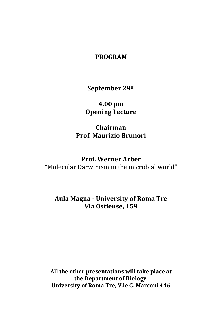#### PROGRAM

September 29th

4.00 pm Opening Lecture

Chairman Prof. Maurizio Brunori

Prof. Werner Arber "Molecular Darwinism in the microbial world"

Aula Magna - University of Roma Tre Via Ostiense, 159

All the other presentations will take place at the Department of Biology, University of Roma Tre, V.le G. Marconi 446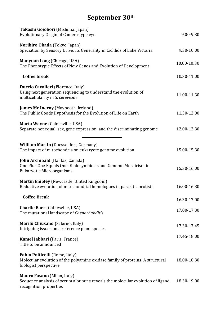## September 30th

| Takashi Gojobori (Mishima, Japan)<br>Evolutionary Origin of Camera-type eye                                                                   | 9.00-9.30   |
|-----------------------------------------------------------------------------------------------------------------------------------------------|-------------|
| Norihiro Okada (Tokyo, Japan)<br>Speciation by Sensory Drive: its Generality in Cichlids of Lake Victoria                                     | 9.30-10.00  |
| Manyuan Long (Chicago, USA)<br>The Phenotypic Effects of New Genes and Evolution of Development                                               | 10.00-10.30 |
| <b>Coffee break</b>                                                                                                                           | 10.30-11.00 |
| Duccio Cavalieri (Florence, Italy)<br>Using next generation sequencing to understand the evolution of<br>multicellularity in S. cerevisiae    | 11.00-11.30 |
| <b>James Mc Inerny</b> (Maynooth, Ireland)<br>The Public Goods Hypothesis for the Evolution of Life on Earth                                  | 11.30-12.00 |
| Marta Wayne (Gainesville, USA)<br>Separate not equal: sex, gene expression, and the discriminating genome                                     | 12.00-12.30 |
| <b>William Martin (Duesseldorf, Germany)</b><br>The impact of mitochondria on eukaryote genome evolution                                      | 15.00-15.30 |
| <b>John Archibald</b> (Halifax, Canada)<br>One Plus One Equals One: Endosymbiosis and Genome Mosaicism in<br><b>Eukaryotic Microorganisms</b> | 15.30-16.00 |
| Martin Embley (Newcastle, United Kingdom)<br>Reductive evolution of mitochondrial homologues in parasitic protists                            | 16.00-16.30 |
| <b>Coffee Break</b>                                                                                                                           | 16.30-17.00 |
| <b>Charlie Baer</b> (Gainesville, USA)<br>The mutational landscape of Caenorhabditis                                                          | 17.00-17.30 |
| Marilù Chiusano (Salerno, Italy)<br>Intriguing issues on a reference plant species                                                            | 17.30-17.45 |
| <b>Kamel Jabbari (Paris, France)</b><br>Title to be announced                                                                                 | 17.45-18.00 |
| Fabio Polticelli (Rome, Italy)<br>Molecular evolution of the polyamine oxidase family of proteins. A structural<br>biologist perspective      | 18.00-18.30 |
| <b>Mauro Fasano</b> (Milan, Italy)<br>Sequence analysis of serum albumins reveals the molecular evolution of ligand<br>recognition properties | 18.30-19.00 |